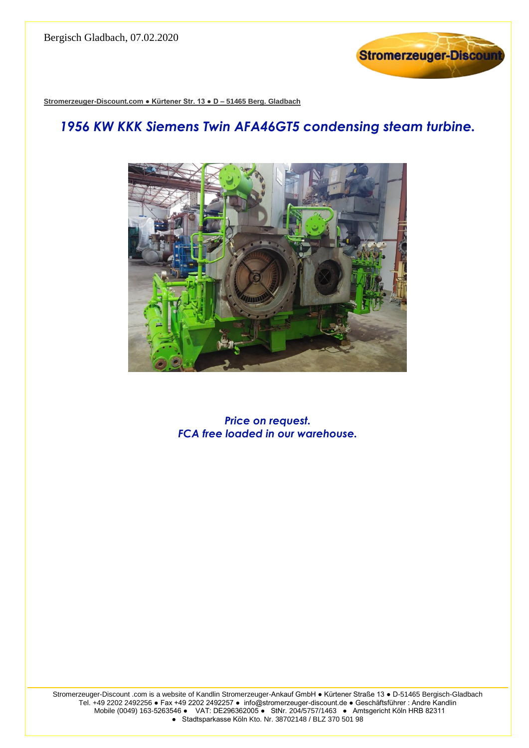

**Stromerzeuger-Discount.com ● Kürtener Str. 13 ● D – 51465 Berg. Gladbach**

## *1956 KW KKK Siemens Twin AFA46GT5 condensing steam turbine.*



*Price on request. FCA free loaded in our warehouse.*